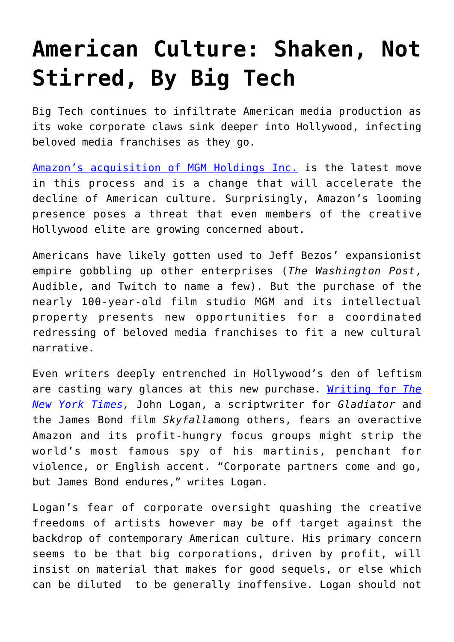## **[American Culture: Shaken, Not](https://intellectualtakeout.org/2021/06/american-culture-shaken-not-stirred-by-big-tech/) [Stirred, By Big Tech](https://intellectualtakeout.org/2021/06/american-culture-shaken-not-stirred-by-big-tech/)**

Big Tech continues to infiltrate American media production as its woke corporate claws sink deeper into Hollywood, infecting beloved media franchises as they go.

[Amazon's acquisition of MGM Holdings Inc.](https://www.nytimes.com/2021/05/26/business/amazon-MGM.html) is the latest move in this process and is a change that will accelerate the decline of American culture. Surprisingly, Amazon's looming presence poses a threat that even members of the creative Hollywood elite are growing concerned about.

Americans have likely gotten used to Jeff Bezos' expansionist empire gobbling up other enterprises (*The Washington Post*, Audible, and Twitch to name a few). But the purchase of the nearly 100-year-old film studio MGM and its intellectual property presents new opportunities for a coordinated redressing of beloved media franchises to fit a new cultural narrative.

Even writers deeply entrenched in Hollywood's den of leftism are casting wary glances at this new purchase. [Writing for](https://www.nytimes.com/2021/05/31/opinion/amazon-mgm-james-bond-bezos.html?action=click&module=Opinion&pgtype=Homepage) *[The](https://www.nytimes.com/2021/05/31/opinion/amazon-mgm-james-bond-bezos.html?action=click&module=Opinion&pgtype=Homepage) [New York Times,](https://www.nytimes.com/2021/05/31/opinion/amazon-mgm-james-bond-bezos.html?action=click&module=Opinion&pgtype=Homepage)* John Logan, a scriptwriter for *Gladiator* and the James Bond film *Skyfall*among others, fears an overactive Amazon and its profit-hungry focus groups might strip the world's most famous spy of his martinis, penchant for violence, or English accent. "Corporate partners come and go, but James Bond endures," writes Logan.

Logan's fear of corporate oversight quashing the creative freedoms of artists however may be off target against the backdrop of contemporary American culture. His primary concern seems to be that big corporations, driven by profit, will insist on material that makes for good sequels, or else which can be diluted to be generally inoffensive. Logan should not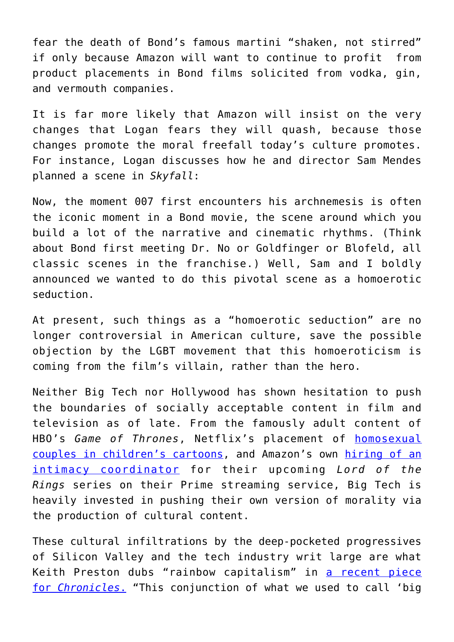fear the death of Bond's famous martini "shaken, not stirred" if only because Amazon will want to continue to profit from product placements in Bond films solicited from vodka, gin, and vermouth companies.

It is far more likely that Amazon will insist on the very changes that Logan fears they will quash, because those changes promote the moral freefall today's culture promotes. For instance, Logan discusses how he and director Sam Mendes planned a scene in *Skyfall*:

Now, the moment 007 first encounters his archnemesis is often the iconic moment in a Bond movie, the scene around which you build a lot of the narrative and cinematic rhythms. (Think about Bond first meeting Dr. No or Goldfinger or Blofeld, all classic scenes in the franchise.) Well, Sam and I boldly announced we wanted to do this pivotal scene as a homoerotic seduction.

At present, such things as a "homoerotic seduction" are no longer controversial in American culture, save the possible objection by the LGBT movement that this homoeroticism is coming from the film's villain, rather than the hero.

Neither Big Tech nor Hollywood has shown hesitation to push the boundaries of socially acceptable content in film and television as of late. From the famously adult content of HBO's *Game of Thrones*, Netflix's placement of [homosexual](https://en.wikipedia.org/wiki/The_Dragon_Prince#LGBTQ_representation) [couples in children's cartoons,](https://en.wikipedia.org/wiki/The_Dragon_Prince#LGBTQ_representation) and Amazon's own [hiring of an](https://www.catholicnewsagency.com/news/246463/petition-asks-amazon-to-avoid-nudity-in-lord-of-the-rings-series) [intimacy coordinator](https://www.catholicnewsagency.com/news/246463/petition-asks-amazon-to-avoid-nudity-in-lord-of-the-rings-series) for their upcoming *Lord of the Rings* series on their Prime streaming service, Big Tech is heavily invested in pushing their own version of morality via the production of cultural content.

These cultural infiltrations by the deep-pocketed progressives of Silicon Valley and the tech industry writ large are what Keith Preston dubs "rainbow capitalism" in [a recent piece](https://www.chroniclesmagazine.org/against-the-rainbow-capitalists/) [for](https://www.chroniclesmagazine.org/against-the-rainbow-capitalists/) *[Chronicles](https://www.chroniclesmagazine.org/against-the-rainbow-capitalists/)*[.](https://www.chroniclesmagazine.org/against-the-rainbow-capitalists/) "This conjunction of what we used to call 'big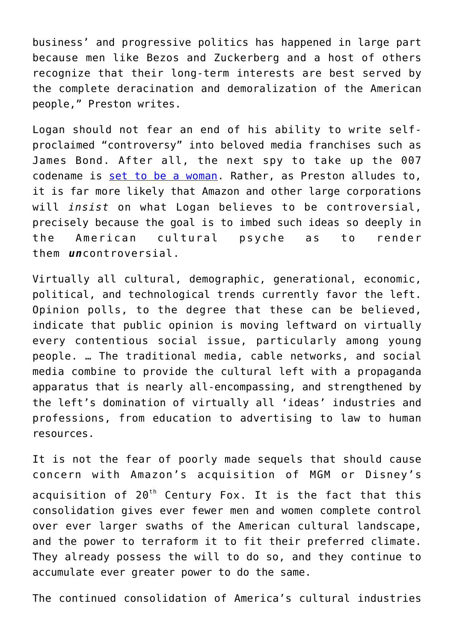business' and progressive politics has happened in large part because men like Bezos and Zuckerberg and a host of others recognize that their long-term interests are best served by the complete deracination and demoralization of the American people," Preston writes.

Logan should not fear an end of his ability to write selfproclaimed "controversy" into beloved media franchises such as James Bond. After all, the next spy to take up the 007 codename is [set to be a woman](https://www.vogue.fr/fashion-culture/article/the-next-james-bond-could-be-played-by-a-woman). Rather, as Preston alludes to, it is far more likely that Amazon and other large corporations will *insist* on what Logan believes to be controversial, precisely because the goal is to imbed such ideas so deeply in the American cultural psyche as to render them *un*controversial.

Virtually all cultural, demographic, generational, economic, political, and technological trends currently favor the left. Opinion polls, to the degree that these can be believed, indicate that public opinion is moving leftward on virtually every contentious social issue, particularly among young people. … The traditional media, cable networks, and social media combine to provide the cultural left with a propaganda apparatus that is nearly all-encompassing, and strengthened by the left's domination of virtually all 'ideas' industries and professions, from education to advertising to law to human resources.

It is not the fear of poorly made sequels that should cause concern with Amazon's acquisition of MGM or Disney's acquisition of  $20<sup>th</sup>$  Century Fox. It is the fact that this consolidation gives ever fewer men and women complete control over ever larger swaths of the American cultural landscape, and the power to terraform it to fit their preferred climate. They already possess the will to do so, and they continue to accumulate ever greater power to do the same.

The continued consolidation of America's cultural industries